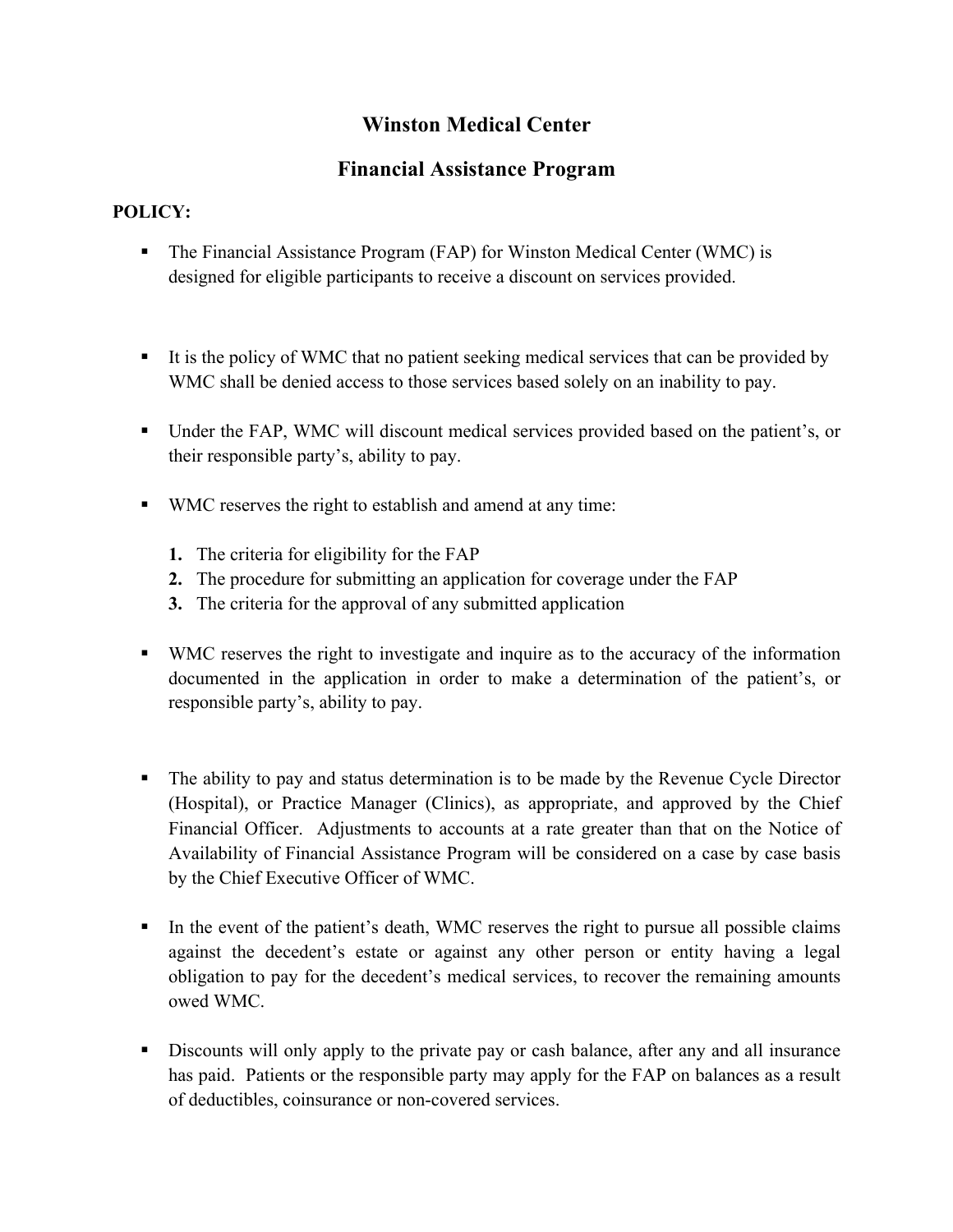## **Winston Medical Center**

## **Financial Assistance Program**

## **POLICY:**

- The Financial Assistance Program (FAP) for Winston Medical Center (WMC) is designed for eligible participants to receive a discount on services provided.
- It is the policy of WMC that no patient seeking medical services that can be provided by WMC shall be denied access to those services based solely on an inability to pay.
- § Under the FAP, WMC will discount medical services provided based on the patient's, or their responsible party's, ability to pay.
- WMC reserves the right to establish and amend at any time:
	- **1.** The criteria for eligibility for the FAP
	- **2.** The procedure for submitting an application for coverage under the FAP
	- **3.** The criteria for the approval of any submitted application
- § WMC reserves the right to investigate and inquire as to the accuracy of the information documented in the application in order to make a determination of the patient's, or responsible party's, ability to pay.
- The ability to pay and status determination is to be made by the Revenue Cycle Director (Hospital), or Practice Manager (Clinics), as appropriate, and approved by the Chief Financial Officer. Adjustments to accounts at a rate greater than that on the Notice of Availability of Financial Assistance Program will be considered on a case by case basis by the Chief Executive Officer of WMC.
- In the event of the patient's death, WMC reserves the right to pursue all possible claims against the decedent's estate or against any other person or entity having a legal obligation to pay for the decedent's medical services, to recover the remaining amounts owed WMC.
- Discounts will only apply to the private pay or cash balance, after any and all insurance has paid. Patients or the responsible party may apply for the FAP on balances as a result of deductibles, coinsurance or non-covered services.